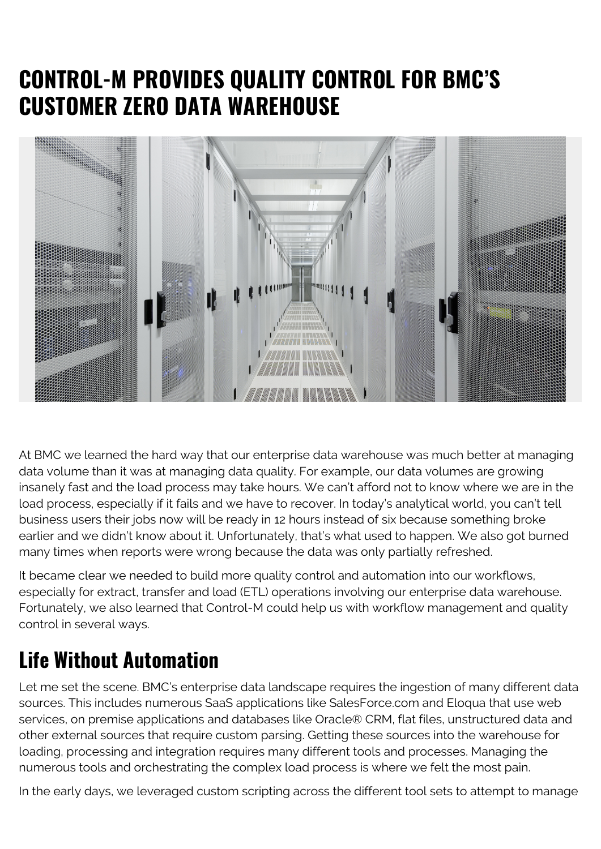## **CONTROL-M PROVIDES QUALITY CONTROL FOR BMC'S CUSTOMER ZERO DATA WAREHOUSE**



At BMC we learned the hard way that our enterprise data warehouse was much better at managing data volume than it was at managing data quality. For example, our data volumes are growing insanely fast and the load process may take hours. We can't afford not to know where we are in the load process, especially if it fails and we have to recover. In today's analytical world, you can't tell business users their jobs now will be ready in 12 hours instead of six because something broke earlier and we didn't know about it. Unfortunately, that's what used to happen. We also got burned many times when reports were wrong because the data was only partially refreshed.

It became clear we needed to build more quality control and automation into our workflows, especially for extract, transfer and load (ETL) operations involving our enterprise data warehouse. Fortunately, we also learned that Control-M could help us with workflow management and quality control in several ways.

## **Life Without Automation**

Let me set the scene. BMC's enterprise data landscape requires the ingestion of many different data sources. This includes numerous SaaS applications like SalesForce.com and Eloqua that use web services, on premise applications and databases like Oracle® CRM, flat files, unstructured data and other external sources that require custom parsing. Getting these sources into the warehouse for loading, processing and integration requires many different tools and processes. Managing the numerous tools and orchestrating the complex load process is where we felt the most pain.

In the early days, we leveraged custom scripting across the different tool sets to attempt to manage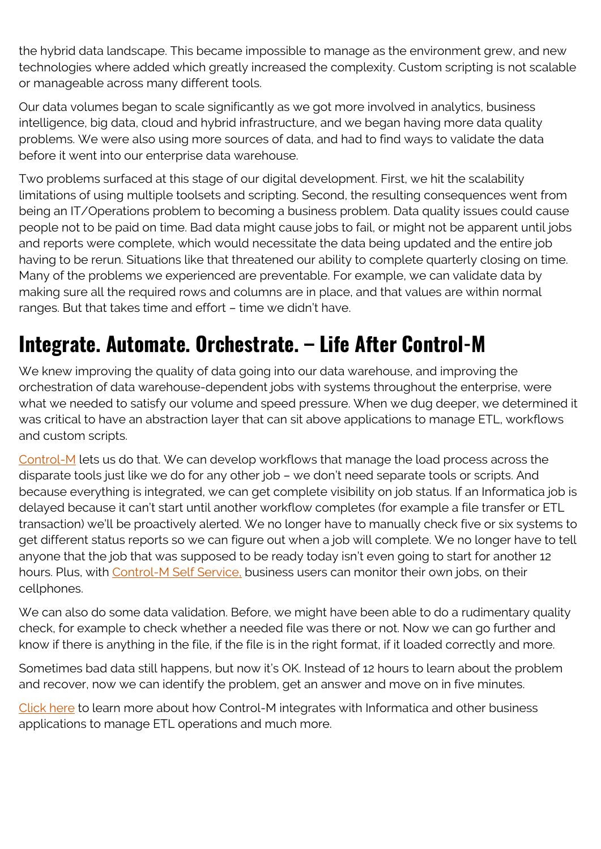the hybrid data landscape. This became impossible to manage as the environment grew, and new technologies where added which greatly increased the complexity. Custom scripting is not scalable or manageable across many different tools.

Our data volumes began to scale significantly as we got more involved in analytics, business intelligence, big data, cloud and hybrid infrastructure, and we began having more data quality problems. We were also using more sources of data, and had to find ways to validate the data before it went into our enterprise data warehouse.

Two problems surfaced at this stage of our digital development. First, we hit the scalability limitations of using multiple toolsets and scripting. Second, the resulting consequences went from being an IT/Operations problem to becoming a business problem. Data quality issues could cause people not to be paid on time. Bad data might cause jobs to fail, or might not be apparent until jobs and reports were complete, which would necessitate the data being updated and the entire job having to be rerun. Situations like that threatened our ability to complete quarterly closing on time. Many of the problems we experienced are preventable. For example, we can validate data by making sure all the required rows and columns are in place, and that values are within normal ranges. But that takes time and effort – time we didn't have.

## **Integrate. Automate. Orchestrate. – Life After Control-M**

We knew improving the quality of data going into our data warehouse, and improving the orchestration of data warehouse-dependent jobs with systems throughout the enterprise, were what we needed to satisfy our volume and speed pressure. When we dug deeper, we determined it was critical to have an abstraction layer that can sit above applications to manage ETL, workflows and custom scripts.

[Control-M](https://blogs.bmc.com/it-solutions/control-m.html) lets us do that. We can develop workflows that manage the load process across the disparate tools just like we do for any other job – we don't need separate tools or scripts. And because everything is integrated, we can get complete visibility on job status. If an Informatica job is delayed because it can't start until another workflow completes (for example a file transfer or ETL transaction) we'll be proactively alerted. We no longer have to manually check five or six systems to get different status reports so we can figure out when a job will complete. We no longer have to tell anyone that the job that was supposed to be ready today isn't even going to start for another 12 hours. Plus, with [Control-M Self Service,](https://www.bmc.com/documents/datasheets/control-m-self-service.html) business users can monitor their own jobs, on their cellphones.

We can also do some data validation. Before, we might have been able to do a rudimentary quality check, for example to check whether a needed file was there or not. Now we can go further and know if there is anything in the file, if the file is in the right format, if it loaded correctly and more.

Sometimes bad data still happens, but now it's OK. Instead of 12 hours to learn about the problem and recover, now we can identify the problem, get an answer and move on in five minutes.

[Click here](https://blogs.bmc.com/it-solutions/control-m-integrations.html) to learn more about how Control-M integrates with Informatica and other business applications to manage ETL operations and much more.